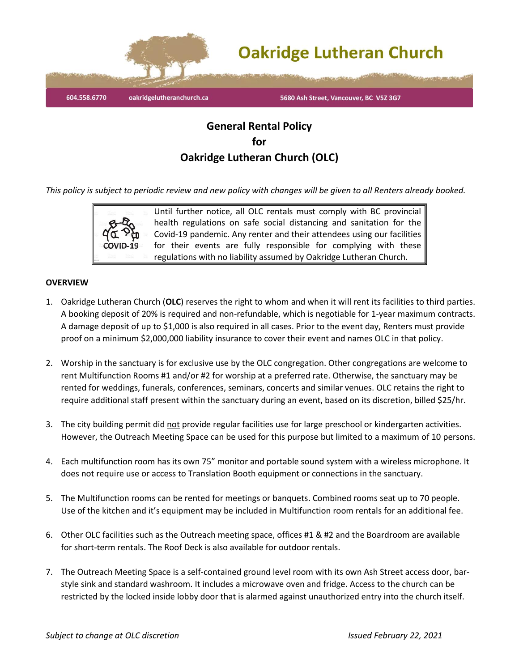

# **General Rental Policy for Oakridge Lutheran Church (OLC)**

*This policy is subject to periodic review and new policy with changes will be given to all Renters already booked.*



Until further notice, all OLC rentals must comply with BC provincial health regulations on safe social distancing and sanitation for the Covid-19 pandemic. Any renter and their attendees using our facilities for their events are fully responsible for complying with these regulations with no liability assumed by Oakridge Lutheran Church.

#### **OVERVIEW**

- 1. Oakridge Lutheran Church (**OLC**) reserves the right to whom and when it will rent its facilities to third parties. A booking deposit of 20% is required and non-refundable, which is negotiable for 1-year maximum contracts. A damage deposit of up to \$1,000 is also required in all cases. Prior to the event day, Renters must provide proof on a minimum \$2,000,000 liability insurance to cover their event and names OLC in that policy.
- 2. Worship in the sanctuary is for exclusive use by the OLC congregation. Other congregations are welcome to rent Multifunction Rooms #1 and/or #2 for worship at a preferred rate. Otherwise, the sanctuary may be rented for weddings, funerals, conferences, seminars, concerts and similar venues. OLC retains the right to require additional staff present within the sanctuary during an event, based on its discretion, billed \$25/hr.
- 3. The city building permit did not provide regular facilities use for large preschool or kindergarten activities. However, the Outreach Meeting Space can be used for this purpose but limited to a maximum of 10 persons.
- 4. Each multifunction room has its own 75" monitor and portable sound system with a wireless microphone. It does not require use or access to Translation Booth equipment or connections in the sanctuary.
- 5. The Multifunction rooms can be rented for meetings or banquets. Combined rooms seat up to 70 people. Use of the kitchen and it's equipment may be included in Multifunction room rentals for an additional fee.
- 6. Other OLC facilities such as the Outreach meeting space, offices #1 & #2 and the Boardroom are available for short-term rentals. The Roof Deck is also available for outdoor rentals.
- 7. The Outreach Meeting Space is a self-contained ground level room with its own Ash Street access door, barstyle sink and standard washroom. It includes a microwave oven and fridge. Access to the church can be restricted by the locked inside lobby door that is alarmed against unauthorized entry into the church itself.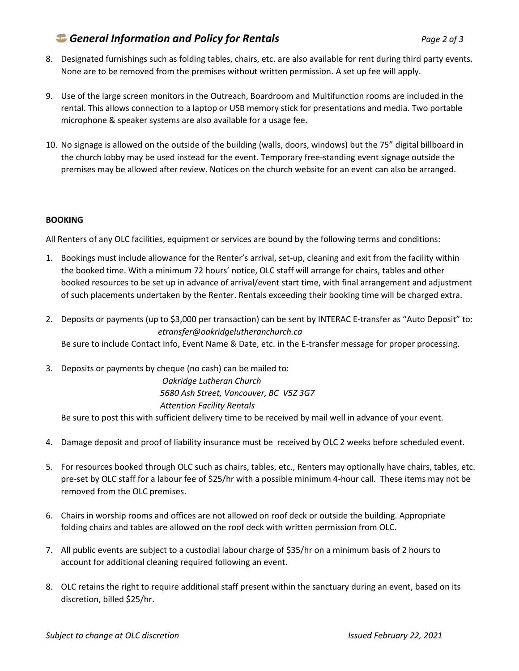# *General Information and Policy for Rentals Page 2 of 3*

- 8. Designated furnishings such as folding tables, chairs, etc. are also available for rent during third party events. None are to be removed from the premises without written permission. A set up fee will apply.
- 9. Use of the large screen monitors in the Outreach, Boardroom and Multifunction rooms are included in the rental. This allows connection to a laptop or USB memory stick for presentations and media. Two portable microphone & speaker systems are also available for a usage fee.
- 10. No signage is allowed on the outside of the building (walls, doors, windows) but the 75" digital billboard in the church lobby may be used instead for the event. Temporary free-standing event signage outside the premises may be allowed after review. Notices on the church website for an event can also be arranged.

## **BOOKING**

All Renters of any OLC facilities, equipment or services are bound by the following terms and conditions:

- 1. Bookings must include allowance for the Renter's arrival, set-up, cleaning and exit from the facility within the booked time. With a minimum 72 hours' notice, OLC staff will arrange for chairs, tables and other booked resources to be set up in advance of arrival/event start time, with final arrangement and adjustment of such placements undertaken by the Renter. Rentals exceeding their booking time will be charged extra.
- 2. Deposits or payments (up to \$3,000 per transaction) can be sent by INTERAC E-transfer as "Auto Deposit" to: *etransfer@oakridgelutheranchurch.ca*

Be sure to include Contact Info, Event Name & Date, etc. in the E-transfer message for proper processing.

3. Deposits or payments by cheque (no cash) can be mailed to:

 *Oakridge Lutheran Church 5680 Ash Street, Vancouver, BC V5Z 3G7 Attention Facility Rentals*

Be sure to post this with sufficient delivery time to be received by mail well in advance of your event.

- 4. Damage deposit and proof of liability insurance must be received by OLC 2 weeks before scheduled event.
- 5. For resources booked through OLC such as chairs, tables, etc., Renters may optionally have chairs, tables, etc. pre-set by OLC staff for a labour fee of \$25/hr with a possible minimum 4-hour call. These items may not be removed from the OLC premises.
- 6. Chairs in worship rooms and offices are not allowed on roof deck or outside the building. Appropriate folding chairs and tables are allowed on the roof deck with written permission from OLC.
- 7. All public events are subject to a custodial labour charge of \$35/hr on a minimum basis of 2 hours to account for additional cleaning required following an event.
- 8. OLC retains the right to require additional staff present within the sanctuary during an event, based on its discretion, billed \$25/hr.